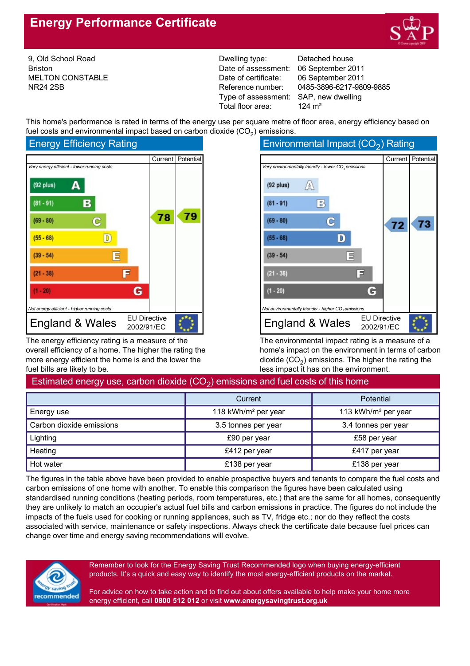# **Energy Performance Certificate**



9, Old School Road Briston MELTON CONSTABLE NR24 2SB

Dwelling type: Date of assessment: Date of certificate: Reference number: Type of assessment: SAP, new dwelling Total floor area:

Detached house 06 September 2011 06 September 2011 0485-3896-6217-9809-9885 124 m²

This home's performance is rated in terms of the energy use per square metre of floor area, energy efficiency based on fuel costs and environmental impact based on carbon dioxide  $(CO_2)$  emissions.





The energy efficiency rating is a measure of the overall efficiency of a home. The higher the rating the more energy efficient the home is and the lower the fuel bills are likely to be.

| Environmental Impact $(CO2)$ Rating                             |                                   |    |                     |
|-----------------------------------------------------------------|-----------------------------------|----|---------------------|
|                                                                 |                                   |    | Current   Potential |
| Very environmentally friendly - lower CO <sub>3</sub> emissions |                                   |    |                     |
| $(92$ plus)<br>A                                                |                                   |    |                     |
| 8<br>$(81 - 91)$                                                |                                   |    |                     |
| $(69 - 80)$<br>q                                                |                                   | 72 | 73                  |
| $(55 - 68)$                                                     |                                   |    |                     |
| $(39 - 54)$<br>冒                                                |                                   |    |                     |
| $(21 - 38)$                                                     | Е                                 |    |                     |
| $(1 - 20)$                                                      | G                                 |    |                     |
| Not environmentally friendly - higher CO, emissions             |                                   |    |                     |
| England & Wales                                                 | <b>EU Directive</b><br>2002/91/EC |    |                     |

The environmental impact rating is a measure of a home's impact on the environment in terms of carbon dioxide (CO<sub>2</sub>) emissions. The higher the rating the less impact it has on the environment.

## Estimated energy use, carbon dioxide (CO<sub>2</sub>) emissions and fuel costs of this home

|                          | Current                         | <b>Potential</b>                |  |
|--------------------------|---------------------------------|---------------------------------|--|
| Energy use               | 118 kWh/m <sup>2</sup> per year | 113 kWh/m <sup>2</sup> per year |  |
| Carbon dioxide emissions | 3.5 tonnes per year             | 3.4 tonnes per year             |  |
| Lighting                 | £90 per year                    | £58 per year                    |  |
| Heating                  | £412 per year                   | £417 per year                   |  |
| Hot water                | £138 per year                   | £138 per year                   |  |

The figures in the table above have been provided to enable prospective buyers and tenants to compare the fuel costs and carbon emissions of one home with another. To enable this comparison the figures have been calculated using standardised running conditions (heating periods, room temperatures, etc.) that are the same for all homes, consequently they are unlikely to match an occupier's actual fuel bills and carbon emissions in practice. The figures do not include the impacts of the fuels used for cooking or running appliances, such as TV, fridge etc.; nor do they reflect the costs associated with service, maintenance or safety inspections. Always check the certificate date because fuel prices can change over time and energy saving recommendations will evolve.



Remember to look for the Energy Saving Trust Recommended logo when buying energy-efficient products. It's a quick and easy way to identify the most energyefficient products on the market.

For advice on how to take action and to find out about offers available to help make your home more energy efficient, call **0800 512 012** or visit **www.energysavingtrust.org.uk**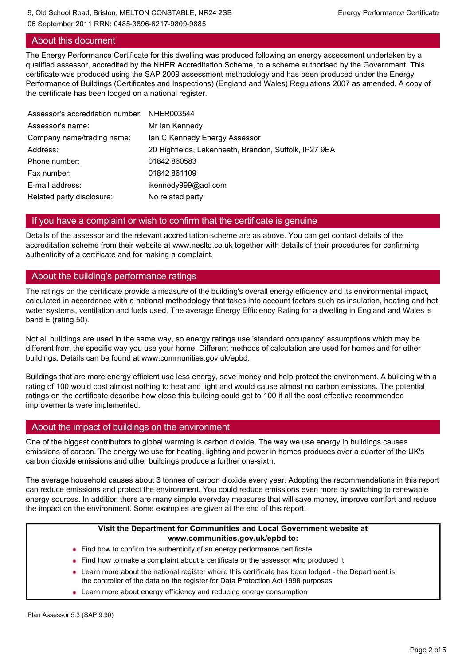### About this document

The Energy Performance Certificate for this dwelling was produced following an energy assessment undertaken by a qualified assessor, accredited by the NHER Accreditation Scheme, to a scheme authorised by the Government. This certificate was produced using the SAP 2009 assessment methodology and has been produced under the Energy Performance of Buildings (Certificates and Inspections) (England and Wales) Regulations 2007 as amended. A copy of the certificate has been lodged on a national register.

| Assessor's accreditation number: NHER003544 |                                                       |
|---------------------------------------------|-------------------------------------------------------|
| Assessor's name:                            | Mr Ian Kennedy                                        |
| Company name/trading name:                  | Ian C Kennedy Energy Assessor                         |
| Address:                                    | 20 Highfields, Lakenheath, Brandon, Suffolk, IP27 9EA |
| Phone number:                               | 01842860583                                           |
| Fax number:                                 | 01842861109                                           |
| E-mail address:                             | ikennedy999@aol.com                                   |
| Related party disclosure:                   | No related party                                      |

### If you have a complaint or wish to confirm that the certificate is genuine

Details of the assessor and the relevant accreditation scheme are as above. You can get contact details of the accreditation scheme from their website at www.nesltd.co.uk together with details of their procedures for confirming authenticity of a certificate and for making a complaint.

### About the building's performance ratings

The ratings on the certificate provide a measure of the building's overall energy efficiency and its environmental impact, calculated in accordance with a national methodology that takes into account factors such as insulation, heating and hot water systems, ventilation and fuels used. The average Energy Efficiency Rating for a dwelling in England and Wales is band E (rating 50).

Not all buildings are used in the same way, so energy ratings use 'standard occupancy' assumptions which may be different from the specific way you use your home. Different methods of calculation are used for homes and for other buildings. Details can be found at www.communities.gov.uk/epbd.

Buildings that are more energy efficient use less energy, save money and help protect the environment. A building with a rating of 100 would cost almost nothing to heat and light and would cause almost no carbon emissions. The potential ratings on the certificate describe how close this building could get to 100 if all the cost effective recommended improvements were implemented.

### About the impact of buildings on the environment

One of the biggest contributors to global warming is carbon dioxide. The way we use energy in buildings causes emissions of carbon. The energy we use for heating, lighting and power in homes produces over a quarter of the UK's carbon dioxide emissions and other buildings produce a further one-sixth.

The average household causes about 6 tonnes of carbon dioxide every year. Adopting the recommendations in this report can reduce emissions and protect the environment. You could reduce emissions even more by switching to renewable energy sources. In addition there are many simple everyday measures that will save money, improve comfort and reduce the impact on the environment. Some examples are given at the end of this report.

#### **Visit the Department for Communities and Local Government website at www.communities.gov.uk/epbd to:**

- Find how to confirm the authenticity of an energy performance certificate
- Find how to make a complaint about a certificate or the assessor who produced it
- Learn more about the national register where this certificate has been lodged the Department is the controller of the data on the register for Data Protection Act 1998 purposes
- **Learn more about energy efficiency and reducing energy consumption**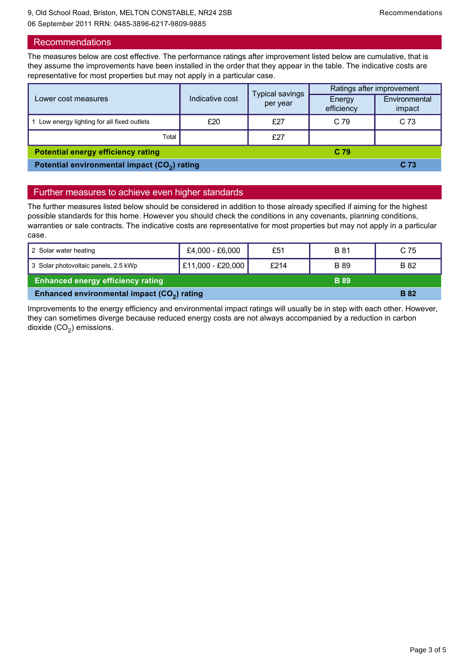### Recommendations

The measures below are cost effective. The performance ratings after improvement listed below are cumulative, that is they assume the improvements have been installed in the order that they appear in the table. The indicative costs are representative for most properties but may not apply in a particular case.

| Lower cost measures                                          | Indicative cost | <b>Typical savings</b><br>per year | Ratings after improvement |                         |
|--------------------------------------------------------------|-----------------|------------------------------------|---------------------------|-------------------------|
|                                                              |                 |                                    | Energy<br>efficiency      | Environmental<br>impact |
| 1 Low energy lighting for all fixed outlets                  | £20             | £27                                | C 79                      | C <sub>73</sub>         |
| Total                                                        |                 | £27                                |                           |                         |
| <b>Potential energy efficiency rating</b><br>C <sub>79</sub> |                 |                                    |                           |                         |
| Potential environmental impact (CO <sub>2</sub> ) rating     |                 |                                    |                           | C <sub>73</sub>         |

### Further measures to achieve even higher standards

The further measures listed below should be considered in addition to those already specified if aiming for the highest possible standards for this home. However you should check the conditions in any covenants, planning conditions, warranties or sale contracts. The indicative costs are representative for most properties but may not apply in a particular case.

| 2 Solar water heating                                   | £4,000 - £6,000   | £51  | <b>B</b> 81 | C 75        |
|---------------------------------------------------------|-------------------|------|-------------|-------------|
| 3 Solar photovoltaic panels, 2.5 kWp                    | £11,000 - £20,000 | £214 | <b>B</b> 89 | B 82        |
| <b>Enhanced energy efficiency rating</b><br><b>B</b> 89 |                   |      |             |             |
| Enhanced environmental impact (CO <sub>2</sub> ) rating |                   |      |             | <b>B</b> 82 |

Improvements to the energy efficiency and environmental impact ratings will usually be in step with each other. However, they can sometimes diverge because reduced energy costs are not always accompanied by a reduction in carbon dioxide (CO<sub>2</sub>) emissions.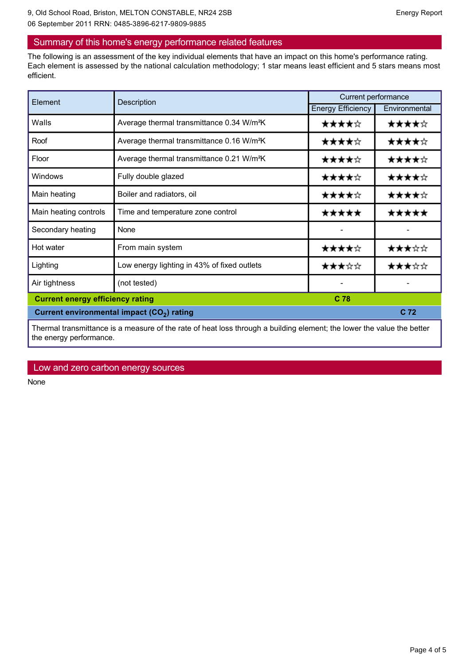### Summary of this home's energy performance related features

The following is an assessment of the key individual elements that have an impact on this home's performance rating. Each element is assessed by the national calculation methodology; 1 star means least efficient and 5 stars means most efficient.

| Element                                                                                                                | Description                                           | Current performance      |               |
|------------------------------------------------------------------------------------------------------------------------|-------------------------------------------------------|--------------------------|---------------|
|                                                                                                                        |                                                       | <b>Energy Efficiency</b> | Environmental |
| Walls                                                                                                                  | Average thermal transmittance 0.34 W/m <sup>2</sup> K | ★★★★☆                    | ★★★★☆         |
| Roof                                                                                                                   | Average thermal transmittance 0.16 W/m <sup>2</sup> K | ★★★★☆                    | ★★★★☆         |
| Floor                                                                                                                  | Average thermal transmittance 0.21 W/m <sup>2</sup> K | ★★★★☆                    | ★★★★☆         |
| Windows                                                                                                                | Fully double glazed                                   | ★★★★☆                    | ★★★★☆         |
| Main heating                                                                                                           | Boiler and radiators, oil                             | ★★★★☆                    | ★★★★☆         |
| Main heating controls                                                                                                  | Time and temperature zone control                     | *****                    | *****         |
| Secondary heating                                                                                                      | None                                                  |                          |               |
| Hot water                                                                                                              | From main system                                      | ★★★★☆                    | ★★★☆☆         |
| Lighting                                                                                                               | Low energy lighting in 43% of fixed outlets           | ★★★☆☆                    | ★★★☆☆         |
| Air tightness                                                                                                          | (not tested)                                          |                          |               |
| C 78<br><b>Current energy efficiency rating</b>                                                                        |                                                       |                          |               |
| C 72<br>Current environmental impact (CO <sub>2</sub> ) rating                                                         |                                                       |                          |               |
| Thermal transmittance is a measure of the rate of heat loss through a building element; the lower the value the better |                                                       |                          |               |

### Low and zero carbon energy sources

the energy performance.

None